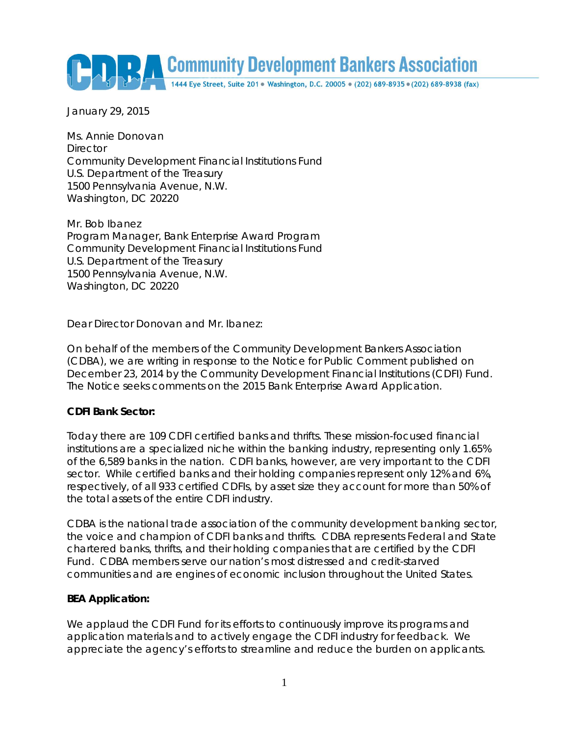Community Development Bankers Association

January 29, 2015

Ms. Annie Donovan **Director** Community Development Financial Institutions Fund U.S. Department of the Treasury 1500 Pennsylvania Avenue, N.W. Washington, DC 20220

Mr. Bob Ibanez Program Manager, Bank Enterprise Award Program Community Development Financial Institutions Fund U.S. Department of the Treasury 1500 Pennsylvania Avenue, N.W. Washington, DC 20220

Dear Director Donovan and Mr. Ibanez:

On behalf of the members of the Community Development Bankers Association (CDBA), we are writing in response to the Notice for Public Comment published on December 23, 2014 by the Community Development Financial Institutions (CDFI) Fund. The Notice seeks comments on the 2015 Bank Enterprise Award Application.

#### **CDFI Bank Sector:**

Today there are 109 CDFI certified banks and thrifts. These mission-focused financial institutions are a specialized niche within the banking industry, representing only 1.65% of the 6,589 banks in the nation. CDFI banks, however, are very important to the CDFI sector. While certified banks and their holding companies represent only 12% and 6%, respectively, of all 933 certified CDFIs, by asset size they account for more than 50% of the total assets of the entire CDFI industry.

CDBA is the national trade association of the community development banking sector, the voice and champion of CDFI banks and thrifts. CDBA represents Federal and State chartered banks, thrifts, and their holding companies that are certified by the CDFI Fund. CDBA members serve our nation's most distressed and credit-starved communities and are engines of economic inclusion throughout the United States.

#### **BEA Application:**

We applaud the CDFI Fund for its efforts to continuously improve its programs and application materials and to actively engage the CDFI industry for feedback. We appreciate the agency's efforts to streamline and reduce the burden on applicants.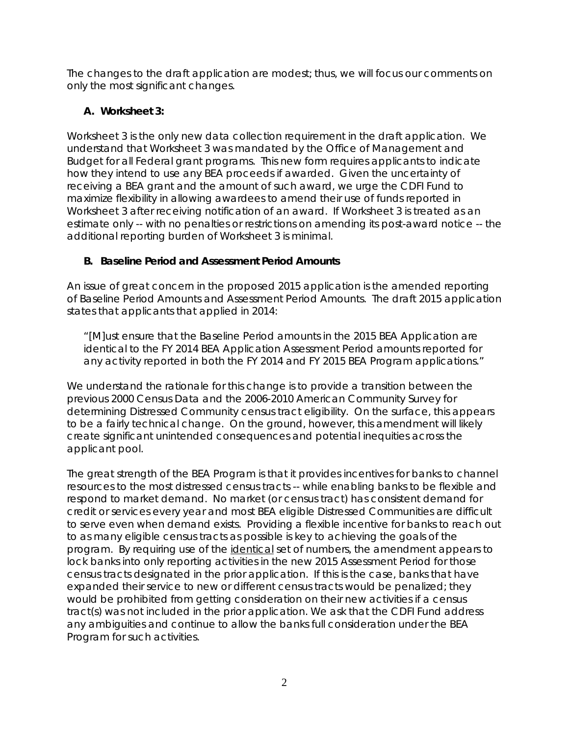The changes to the draft application are modest; thus, we will focus our comments on only the most significant changes.

# **A. Worksheet 3:**

Worksheet 3 is the only new data collection requirement in the draft application. We understand that Worksheet 3 was mandated by the Office of Management and Budget for all Federal grant programs. This new form requires applicants to indicate how they intend to use any BEA proceeds if awarded. Given the uncertainty of receiving a BEA grant and the amount of such award, we urge the CDFI Fund to maximize flexibility in allowing awardees to amend their use of funds reported in Worksheet 3 after receiving notification of an award. If Worksheet 3 is treated as an estimate only -- with no penalties or restrictions on amending its post-award notice -- the additional reporting burden of Worksheet 3 is minimal.

## **B. Baseline Period and Assessment Period Amounts**

An issue of great concern in the proposed 2015 application is the amended reporting of Baseline Period Amounts and Assessment Period Amounts. The draft 2015 application states that applicants that applied in 2014:

*"[M]ust ensure that the Baseline Period amounts in the 2015 BEA Application are identical to the FY 2014 BEA Application Assessment Period amounts reported for any activity reported in both the FY 2014 and FY 2015 BEA Program applications."*

We understand the rationale for this change is to provide a transition between the previous 2000 Census Data and the 2006-2010 American Community Survey for determining Distressed Community census tract eligibility. On the surface, this appears to be a fairly technical change. On the ground, however, this amendment will likely create significant unintended consequences and potential inequities across the applicant pool.

The great strength of the BEA Program is that it provides incentives for banks to channel resources to the most distressed census tracts -- while enabling banks to be flexible and respond to market demand. No market (or census tract) has consistent demand for credit or services every year and most BEA eligible Distressed Communities are difficult to serve even when demand exists. Providing a flexible incentive for banks to reach out to as many eligible census tracts as possible is key to achieving the goals of the program. By requiring use of the identical set of numbers, the amendment appears to lock banks into only reporting activities in the new 2015 Assessment Period for those census tracts designated in the prior application. If this is the case, banks that have expanded their service to new or different census tracts would be penalized; they would be prohibited from getting consideration on their new activities if a census tract(s) was not included in the prior application. We ask that the CDFI Fund address any ambiguities and continue to allow the banks full consideration under the BEA Program for such activities.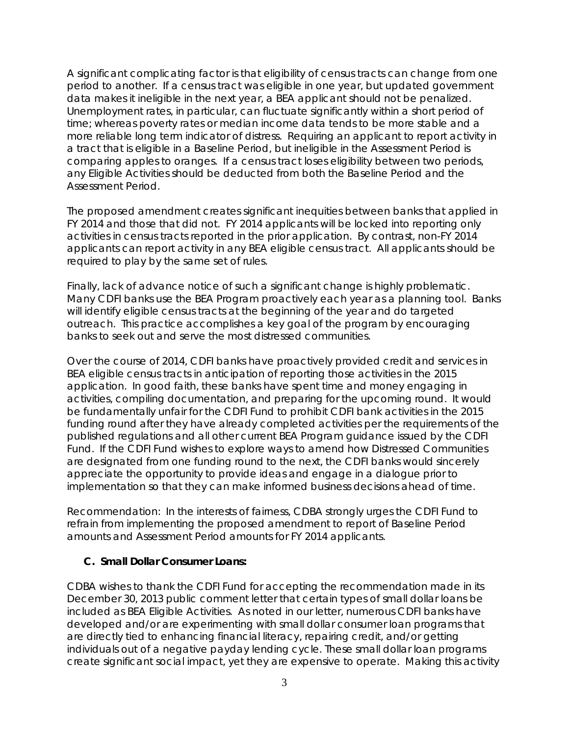A significant complicating factor is that eligibility of census tracts can change from one period to another. If a census tract was eligible in one year, but updated government data makes it ineligible in the next year, a BEA applicant should not be penalized. Unemployment rates, in particular, can fluctuate significantly within a short period of time; whereas poverty rates or median income data tends to be more stable and a more reliable long term indicator of distress. Requiring an applicant to report activity in a tract that is eligible in a Baseline Period, but ineligible in the Assessment Period is comparing apples to oranges. If a census tract loses eligibility between two periods, any Eligible Activities should be deducted from both the Baseline Period and the Assessment Period.

The proposed amendment creates significant inequities between banks that applied in FY 2014 and those that did not. FY 2014 applicants will be locked into reporting only activities in census tracts reported in the prior application. By contrast, non-FY 2014 applicants can report activity in any BEA eligible census tract. All applicants should be required to play by the same set of rules.

Finally, lack of advance notice of such a significant change is highly problematic. Many CDFI banks use the BEA Program proactively each year as a planning tool. Banks will identify eligible census tracts at the beginning of the year and do targeted outreach. This practice accomplishes a key goal of the program by encouraging banks to seek out and serve the most distressed communities.

Over the course of 2014, CDFI banks have proactively provided credit and services in BEA eligible census tracts in anticipation of reporting those activities in the 2015 application. In good faith, these banks have spent time and money engaging in activities, compiling documentation, and preparing for the upcoming round. It would be fundamentally unfair for the CDFI Fund to prohibit CDFI bank activities in the 2015 funding round after they have already completed activities per the requirements of the published regulations and all other current BEA Program guidance issued by the CDFI Fund. If the CDFI Fund wishes to explore ways to amend how Distressed Communities are designated from one funding round to the next, the CDFI banks would sincerely appreciate the opportunity to provide ideas and engage in a dialogue prior to implementation so that they can make informed business decisions ahead of time.

Recommendation: In the interests of fairness, CDBA strongly urges the CDFI Fund to refrain from implementing the proposed amendment to report of Baseline Period amounts and Assessment Period amounts for FY 2014 applicants.

#### **C. Small Dollar Consumer Loans:**

CDBA wishes to thank the CDFI Fund for accepting the recommendation made in its December 30, 2013 public comment letter that certain types of small dollar loans be included as BEA Eligible Activities. As noted in our letter, numerous CDFI banks have developed and/or are experimenting with small dollar consumer loan programs that are directly tied to enhancing financial literacy, repairing credit, and/or getting individuals out of a negative payday lending cycle. These small dollar loan programs create significant social impact, yet they are expensive to operate. Making this activity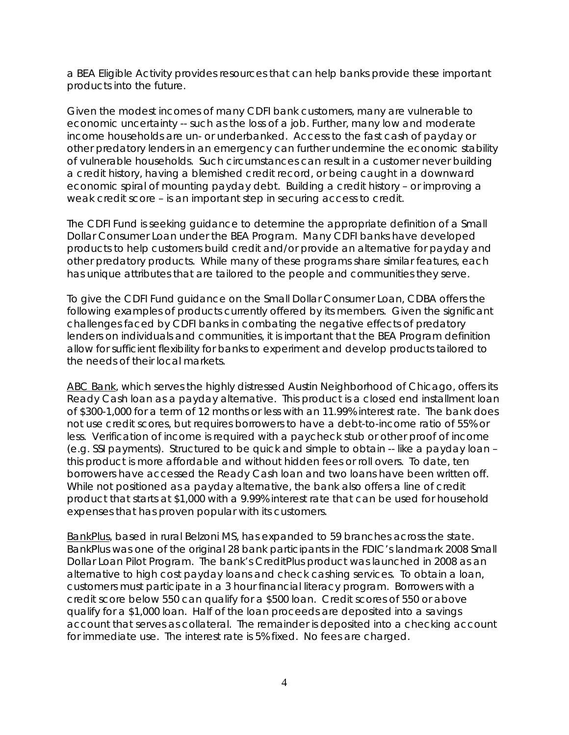a BEA Eligible Activity provides resources that can help banks provide these important products into the future.

Given the modest incomes of many CDFI bank customers, many are vulnerable to economic uncertainty -- such as the loss of a job. Further, many low and moderate income households are un- or underbanked. Access to the fast cash of payday or other predatory lenders in an emergency can further undermine the economic stability of vulnerable households. Such circumstances can result in a customer never building a credit history, having a blemished credit record, or being caught in a downward economic spiral of mounting payday debt. Building a credit history – or improving a weak credit score – is an important step in securing access to credit.

The CDFI Fund is seeking guidance to determine the appropriate definition of a Small Dollar Consumer Loan under the BEA Program. Many CDFI banks have developed products to help customers build credit and/or provide an alternative for payday and other predatory products. While many of these programs share similar features, each has unique attributes that are tailored to the people and communities they serve.

To give the CDFI Fund guidance on the Small Dollar Consumer Loan, CDBA offers the following examples of products currently offered by its members. Given the significant challenges faced by CDFI banks in combating the negative effects of predatory lenders on individuals and communities, it is important that the BEA Program definition allow for sufficient flexibility for banks to experiment and develop products tailored to the needs of their local markets.

ABC Bank, which serves the highly distressed Austin Neighborhood of Chicago, offers its Ready Cash loan as a payday alternative. This product is a closed end installment loan of \$300-1,000 for a term of 12 months or less with an 11.99% interest rate. The bank does not use credit scores, but requires borrowers to have a debt-to-income ratio of 55% or less. Verification of income is required with a paycheck stub or other proof of income (e.g. SSI payments). Structured to be quick and simple to obtain -- like a payday loan – this product is more affordable and without hidden fees or roll overs. To date, ten borrowers have accessed the Ready Cash loan and two loans have been written off. While not positioned as a payday alternative, the bank also offers a line of credit product that starts at \$1,000 with a 9.99% interest rate that can be used for household expenses that has proven popular with its customers.

BankPlus, based in rural Belzoni MS, has expanded to 59 branches across the state. BankPlus was one of the original 28 bank participants in the FDIC's landmark 2008 Small Dollar Loan Pilot Program. The bank's CreditPlus product was launched in 2008 as an alternative to high cost payday loans and check cashing services. To obtain a loan, customers must participate in a 3 hour financial literacy program. Borrowers with a credit score below 550 can qualify for a \$500 loan. Credit scores of 550 or above qualify for a \$1,000 loan. Half of the loan proceeds are deposited into a savings account that serves as collateral. The remainder is deposited into a checking account for immediate use. The interest rate is 5% fixed. No fees are charged.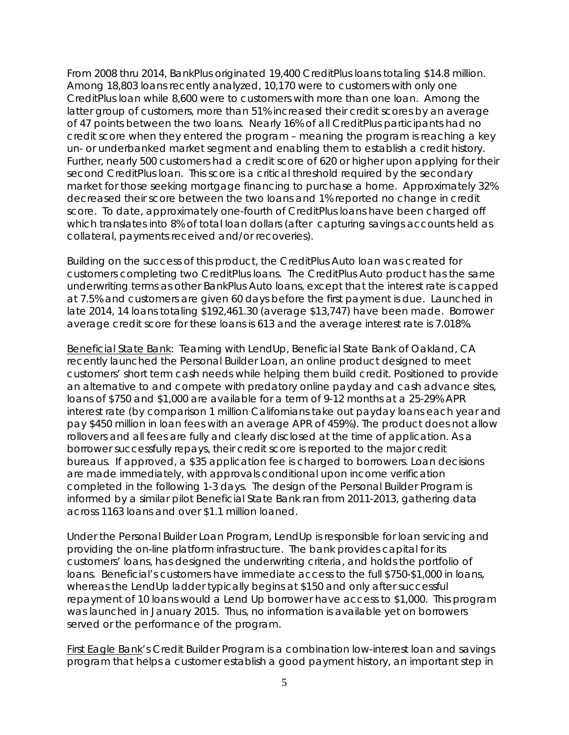From 2008 thru 2014, BankPlus originated 19,400 CreditPlus loans totaling \$14.8 million. Among 18,803 loans recently analyzed, 10,170 were to customers with only one CreditPlus loan while 8,600 were to customers with more than one loan. Among the latter group of customers, more than 51% increased their credit scores by an average of 47 points between the two loans. Nearly 16% of all CreditPlus participants had no credit score when they entered the program – meaning the program is reaching a key un- or underbanked market segment and enabling them to establish a credit history. Further, nearly 500 customers had a credit score of 620 or higher upon applying for their second CreditPlus loan. This score is a critical threshold required by the secondary market for those seeking mortgage financing to purchase a home. Approximately 32% decreased their score between the two loans and 1% reported no change in credit score. To date, approximately one-fourth of CreditPlus loans have been charged off which translates into 8% of total loan dollars (after capturing savings accounts held as collateral, payments received and/or recoveries).

Building on the success of this product, the CreditPlus Auto loan was created for customers completing two CreditPlus loans. The CreditPlus Auto product has the same underwriting terms as other BankPlus Auto loans, except that the interest rate is capped at 7.5% and customers are given 60 days before the first payment is due. Launched in late 2014, 14 loans totaling \$192,461.30 (average \$13,747) have been made. Borrower average credit score for these loans is 613 and the average interest rate is 7.018%.

Beneficial State Bank: Teaming with LendUp, Beneficial State Bank of Oakland, CA recently launched the Personal Builder Loan, an online product designed to meet customers' short term cash needs while helping them build credit. Positioned to provide an alternative to and compete with predatory online payday and cash advance sites, loans of \$750 and \$1,000 are available for a term of 9-12 months at a 25-29% APR interest rate (by comparison 1 million Californians take out payday loans each year and pay \$450 million in loan fees with an average APR of 459%). The product does not allow rollovers and all fees are fully and clearly disclosed at the time of application. As a borrower successfully repays, their credit score is reported to the major credit bureaus. If approved, a \$35 application fee is charged to borrowers. Loan decisions are made immediately, with approvals conditional upon income verification completed in the following 1-3 days. The design of the Personal Builder Program is informed by a similar pilot Beneficial State Bank ran from 2011-2013, gathering data across 1163 loans and over \$1.1 million loaned.

Under the Personal Builder Loan Program, LendUp is responsible for loan servicing and providing the on-line platform infrastructure. The bank provides capital for its customers' loans, has designed the underwriting criteria, and holds the portfolio of loans. Beneficial's customers have immediate access to the full \$750-\$1,000 in loans, whereas the LendUp ladder typically begins at \$150 and only after successful repayment of 10 loans would a Lend Up borrower have access to \$1,000. This program was launched in January 2015. Thus, no information is available yet on borrowers served or the performance of the program.

First Eagle Bank's Credit Builder Program is a combination low-interest loan and savings program that helps a customer establish a good payment history, an important step in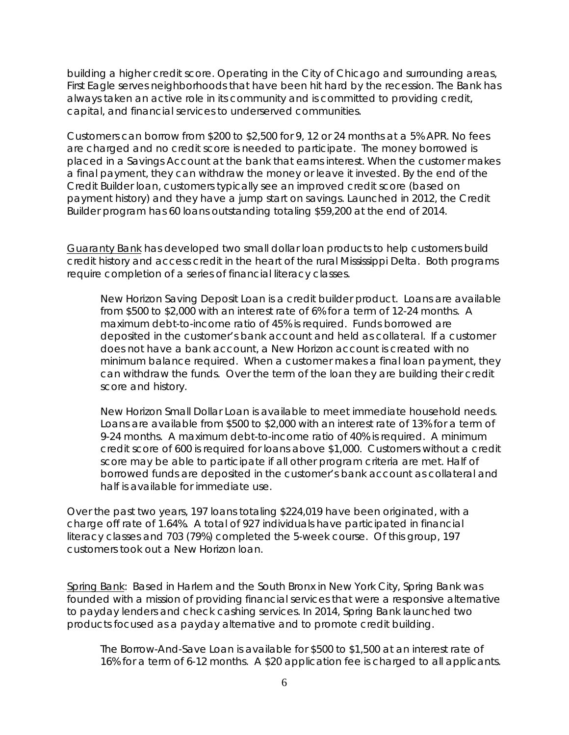building a higher credit score. Operating in the City of Chicago and surrounding areas, First Eagle serves neighborhoods that have been hit hard by the recession. The Bank has always taken an active role in its community and is committed to providing credit, capital, and financial services to underserved communities.

Customers can borrow from \$200 to \$2,500 for 9, 12 or 24 months at a 5% APR. No fees are charged and no credit score is needed to participate. The money borrowed is placed in a Savings Account at the bank that earns interest. When the customer makes a final payment, they can withdraw the money or leave it invested. By the end of the Credit Builder loan, customers typically see an improved credit score (based on payment history) and they have a jump start on savings. Launched in 2012, the Credit Builder program has 60 loans outstanding totaling \$59,200 at the end of 2014.

Guaranty Bank has developed two small dollar loan products to help customers build credit history and access credit in the heart of the rural Mississippi Delta. Both programs require completion of a series of financial literacy classes.

*New Horizon Saving Deposit Loan* is a credit builder product. Loans are available from \$500 to \$2,000 with an interest rate of 6% for a term of 12-24 months. A maximum debt-to-income ratio of 45% is required. Funds borrowed are deposited in the customer's bank account and held as collateral. If a customer does not have a bank account, a New Horizon account is created with no minimum balance required. When a customer makes a final loan payment, they can withdraw the funds. Over the term of the loan they are building their credit score and history.

*New Horizon Small Dollar Loan* is available to meet immediate household needs. Loans are available from \$500 to \$2,000 with an interest rate of 13% for a term of 9-24 months. A maximum debt-to-income ratio of 40% is required. A minimum credit score of 600 is required for loans above \$1,000. Customers without a credit score may be able to participate if all other program criteria are met. Half of borrowed funds are deposited in the customer's bank account as collateral and half is available for immediate use.

Over the past two years, 197 loans totaling \$224,019 have been originated, with a charge off rate of 1.64%. A total of 927 individuals have participated in financial literacy classes and 703 (79%) completed the 5-week course. Of this group, 197 customers took out a New Horizon loan.

Spring Bank: Based in Harlem and the South Bronx in New York City, Spring Bank was founded with a mission of providing financial services that were a responsive alternative to payday lenders and check cashing services. In 2014, Spring Bank launched two products focused as a payday alternative and to promote credit building.

*The Borrow-And-Save Loan* is available for \$500 to \$1,500 at an interest rate of 16% for a term of 6-12 months. A \$20 application fee is charged to all applicants.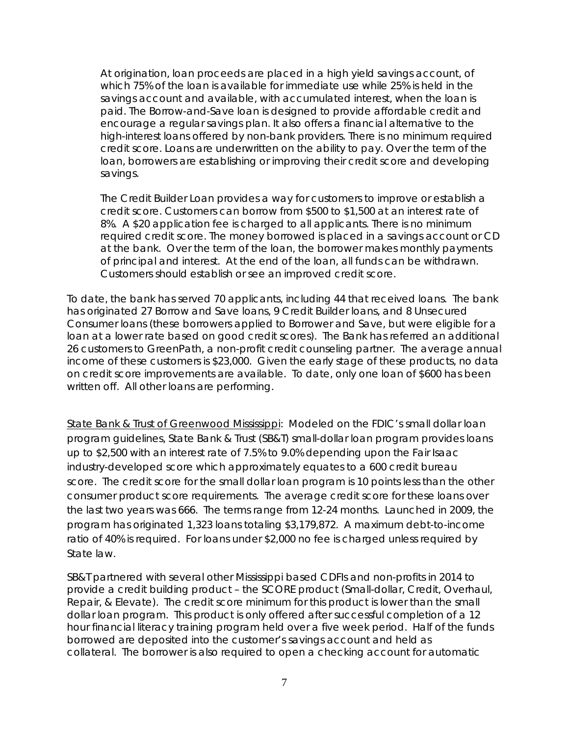At origination, loan proceeds are placed in a high yield savings account, of which 75% of the loan is available for immediate use while 25% is held in the savings account and available, with accumulated interest, when the loan is paid. The Borrow-and-Save loan is designed to provide affordable credit and encourage a regular savings plan. It also offers a financial alternative to the high-interest loans offered by non-bank providers. There is no minimum required credit score. Loans are underwritten on the ability to pay. Over the term of the loan, borrowers are establishing or improving their credit score and developing savings.

*The Credit Builder Loan* provides a way for customers to improve or establish a credit score. Customers can borrow from \$500 to \$1,500 at an interest rate of 8%. A \$20 application fee is charged to all applicants. There is no minimum required credit score. The money borrowed is placed in a savings account or CD at the bank. Over the term of the loan, the borrower makes monthly payments of principal and interest. At the end of the loan, all funds can be withdrawn. Customers should establish or see an improved credit score.

To date, the bank has served 70 applicants, including 44 that received loans. The bank has originated 27 Borrow and Save loans, 9 Credit Builder loans, and 8 Unsecured Consumer loans (these borrowers applied to Borrower and Save, but were eligible for a loan at a lower rate based on good credit scores). The Bank has referred an additional 26 customers to GreenPath, a non-profit credit counseling partner. The average annual income of these customers is \$23,000. Given the early stage of these products, no data on credit score improvements are available. To date, only one loan of \$600 has been written off. All other loans are performing.

State Bank & Trust of Greenwood Mississippi: Modeled on the FDIC's small dollar loan program guidelines, State Bank & Trust (SB&T) small-dollar loan program provides loans up to \$2,500 with an interest rate of 7.5% to 9.0% depending upon the Fair Isaac industry-developed score which approximately equates to a 600 credit bureau score. The credit score for the small dollar loan program is 10 points less than the other consumer product score requirements. The average credit score for these loans over the last two years was 666. The terms range from 12-24 months. Launched in 2009, the program has originated 1,323 loans totaling \$3,179,872. A maximum debt-to-income ratio of 40% is required. For loans under \$2,000 no fee is charged unless required by State law.

SB&T partnered with several other Mississippi based CDFIs and non-profits in 2014 to provide a credit building product – the SCORE product (Small-dollar, Credit, Overhaul, Repair, & Elevate). The credit score minimum for this product is lower than the small dollar loan program. This product is only offered after successful completion of a 12 hour financial literacy training program held over a five week period. Half of the funds borrowed are deposited into the customer's savings account and held as collateral. The borrower is also required to open a checking account for automatic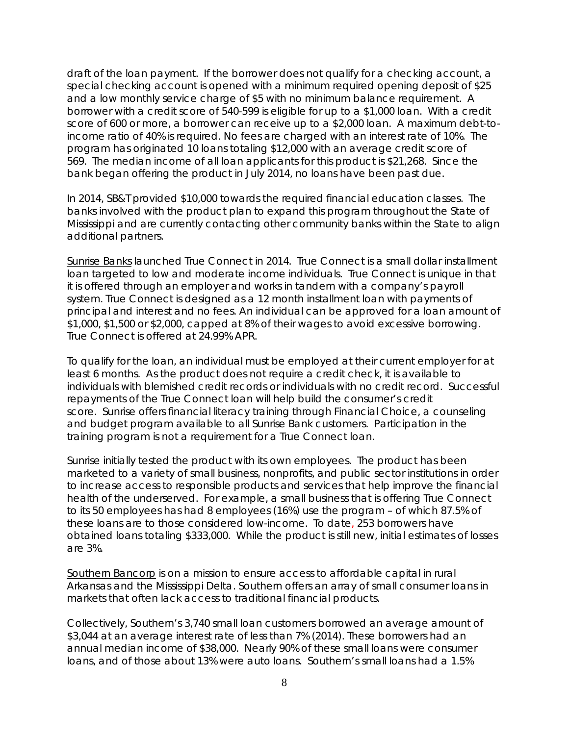draft of the loan payment. If the borrower does not qualify for a checking account, a special checking account is opened with a minimum required opening deposit of \$25 and a low monthly service charge of \$5 with no minimum balance requirement. A borrower with a credit score of 540-599 is eligible for up to a \$1,000 loan. With a credit score of 600 or more, a borrower can receive up to a \$2,000 loan. A maximum debt-toincome ratio of 40% is required. No fees are charged with an interest rate of 10%. The program has originated 10 loans totaling \$12,000 with an average credit score of 569. The median income of all loan applicants for this product is \$21,268. Since the bank began offering the product in July 2014, no loans have been past due.

In 2014, SB&T provided \$10,000 towards the required financial education classes. The banks involved with the product plan to expand this program throughout the State of Mississippi and are currently contacting other community banks within the State to align additional partners.

Sunrise Banks launched True Connect in 2014. True Connect is a small dollar installment loan targeted to low and moderate income individuals. True Connect is unique in that it is offered through an employer and works in tandem with a company's payroll system. True Connect is designed as a 12 month installment loan with payments of principal and interest and no fees. An individual can be approved for a loan amount of \$1,000, \$1,500 or \$2,000, capped at 8% of their wages to avoid excessive borrowing. True Connect is offered at 24.99% APR.

To qualify for the loan, an individual must be employed at their current employer for at least 6 months. As the product does not require a credit check, it is available to individuals with blemished credit records or individuals with no credit record. Successful repayments of the True Connect loan will help build the consumer's credit score. Sunrise offers financial literacy training through Financial Choice, a counseling and budget program available to all Sunrise Bank customers. Participation in the training program is not a requirement for a True Connect loan.

Sunrise initially tested the product with its own employees. The product has been marketed to a variety of small business, nonprofits, and public sector institutions in order to increase access to responsible products and services that help improve the financial health of the underserved. For example, a small business that is offering True Connect to its 50 employees has had 8 employees (16%) use the program – of which 87.5% of these loans are to those considered low-income. To date, 253 borrowers have obtained loans totaling \$333,000. While the product is still new, initial estimates of losses are 3%.

Southern Bancorp is on a mission to ensure access to affordable capital in rural Arkansas and the Mississippi Delta. Southern offers an array of small consumer loans in markets that often lack access to traditional financial products.

Collectively, Southern's 3,740 small loan customers borrowed an average amount of \$3,044 at an average interest rate of less than 7% (2014). These borrowers had an annual median income of \$38,000. Nearly 90% of these small loans were consumer loans, and of those about 13% were auto loans. Southern's small loans had a 1.5%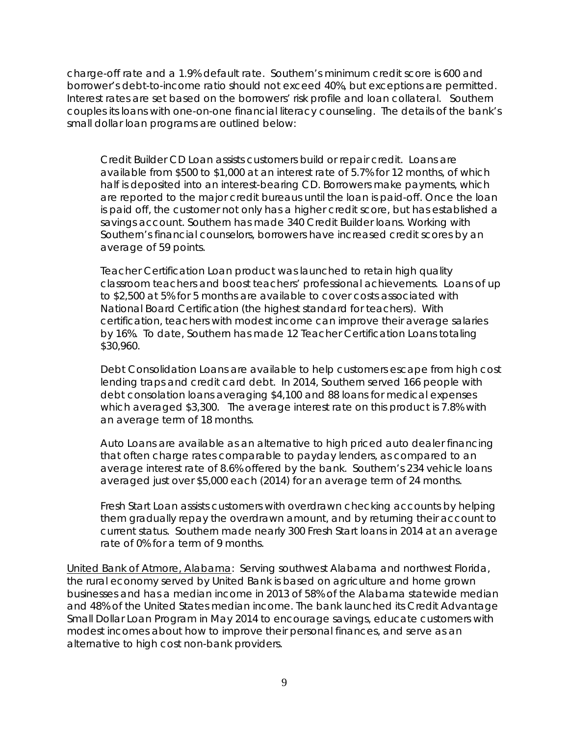charge-off rate and a 1.9% default rate. Southern's minimum credit score is 600 and borrower's debt-to-income ratio should not exceed 40%, but exceptions are permitted. Interest rates are set based on the borrowers' risk profile and loan collateral. Southern couples its loans with one-on-one financial literacy counseling. The details of the bank's small dollar loan programs are outlined below:

*Credit Builder CD Loan* assists customers build or repair credit. Loans are available from \$500 to \$1,000 at an interest rate of 5.7% for 12 months, of which half is deposited into an interest-bearing CD. Borrowers make payments, which are reported to the major credit bureaus until the loan is paid-off. Once the loan is paid off, the customer not only has a higher credit score, but has established a savings account. Southern has made 340 Credit Builder loans. Working with Southern's financial counselors, borrowers have increased credit scores by an average of 59 points.

*Teacher Certification Loan* product was launched to retain high quality classroom teachers and boost teachers' professional achievements. Loans of up to \$2,500 at 5% for 5 months are available to cover costs associated with National Board Certification (the highest standard for teachers). With certification, teachers with modest income can improve their average salaries by 16%. To date, Southern has made 12 Teacher Certification Loans totaling \$30,960.

*Debt Consolidation Loans* are available to help customers escape from high cost lending traps and credit card debt. In 2014, Southern served 166 people with debt consolation loans averaging \$4,100 and 88 loans for medical expenses which averaged \$3,300. The average interest rate on this product is 7.8% with an average term of 18 months.

*Auto Loans* are available as an alternative to high priced auto dealer financing that often charge rates comparable to payday lenders, as compared to an average interest rate of 8.6% offered by the bank. Southern's 234 vehicle loans averaged just over \$5,000 each (2014) for an average term of 24 months.

*Fresh Start Loan* assists customers with overdrawn checking accounts by helping them gradually repay the overdrawn amount, and by returning their account to current status. Southern made nearly 300 Fresh Start loans in 2014 at an average rate of 0% for a term of 9 months.

United Bank of Atmore, Alabama: Serving southwest Alabama and northwest Florida, the rural economy served by United Bank is based on agriculture and home grown businesses and has a median income in 2013 of 58% of the Alabama statewide median and 48% of the United States median income. The bank launched its Credit Advantage Small Dollar Loan Program in May 2014 to encourage savings, educate customers with modest incomes about how to improve their personal finances, and serve as an alternative to high cost non-bank providers.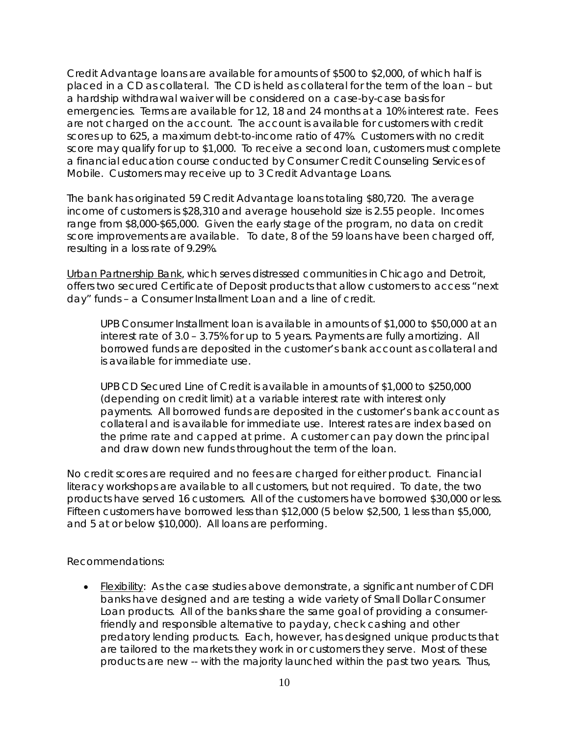*Credit Advantage* loans are available for amounts of \$500 to \$2,000, of which half is placed in a CD as collateral. The CD is held as collateral for the term of the loan – but a hardship withdrawal waiver will be considered on a case-by-case basis for emergencies. Terms are available for 12, 18 and 24 months at a 10% interest rate. Fees are not charged on the account. The account is available for customers with credit scores up to 625, a maximum debt-to-income ratio of 47%. Customers with no credit score may qualify for up to \$1,000. To receive a second loan, customers must complete a financial education course conducted by Consumer Credit Counseling Services of Mobile. Customers may receive up to 3 Credit Advantage Loans.

The bank has originated 59 Credit Advantage loans totaling \$80,720. The average income of customers is \$28,310 and average household size is 2.55 people. Incomes range from \$8,000-\$65,000. Given the early stage of the program, no data on credit score improvements are available. To date, 8 of the 59 loans have been charged off, resulting in a loss rate of 9.29%.

Urban Partnership Bank, which serves distressed communities in Chicago and Detroit, offers two secured Certificate of Deposit products that allow customers to access "next day" funds – a Consumer Installment Loan and a line of credit.

*UPB Consumer Installment* loan is available in amounts of \$1,000 to \$50,000 at an interest rate of 3.0 – 3.75% for up to 5 years. Payments are fully amortizing. All borrowed funds are deposited in the customer's bank account as collateral and is available for immediate use.

*UPB CD Secured Line of Credit* is available in amounts of \$1,000 to \$250,000 (depending on credit limit) at a variable interest rate with interest only payments. All borrowed funds are deposited in the customer's bank account as collateral and is available for immediate use. Interest rates are index based on the prime rate and capped at prime. A customer can pay down the principal and draw down new funds throughout the term of the loan.

No credit scores are required and no fees are charged for either product. Financial literacy workshops are available to all customers, but not required. To date, the two products have served 16 customers. All of the customers have borrowed \$30,000 or less. Fifteen customers have borrowed less than \$12,000 (5 below \$2,500, 1 less than \$5,000, and 5 at or below \$10,000). All loans are performing.

Recommendations:

• Flexibility: As the case studies above demonstrate, a significant number of CDFI banks have designed and are testing a wide variety of Small Dollar Consumer Loan products. All of the banks share the same goal of providing a consumerfriendly and responsible alternative to payday, check cashing and other predatory lending products. Each, however, has designed unique products that are tailored to the markets they work in or customers they serve. Most of these products are new -- with the majority launched within the past two years. Thus,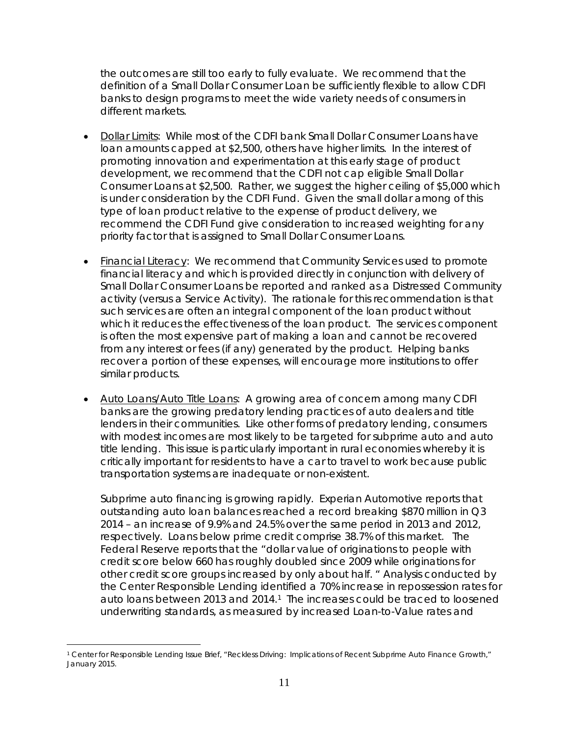the outcomes are still too early to fully evaluate. We recommend that the definition of a Small Dollar Consumer Loan be sufficiently flexible to allow CDFI banks to design programs to meet the wide variety needs of consumers in different markets.

- Dollar Limits: While most of the CDFI bank Small Dollar Consumer Loans have loan amounts capped at \$2,500, others have higher limits. In the interest of promoting innovation and experimentation at this early stage of product development, we recommend that the CDFI not cap eligible Small Dollar Consumer Loans at \$2,500. Rather, we suggest the higher ceiling of \$5,000 which is under consideration by the CDFI Fund. Given the small dollar among of this type of loan product relative to the expense of product delivery, we recommend the CDFI Fund give consideration to increased weighting for any priority factor that is assigned to Small Dollar Consumer Loans.
- Financial Literacy: We recommend that Community Services used to promote financial literacy and which is provided directly in conjunction with delivery of Small Dollar Consumer Loans be reported and ranked as a Distressed Community activity (versus a Service Activity). The rationale for this recommendation is that such services are often an integral component of the loan product without which it reduces the effectiveness of the loan product. The services component is often the most expensive part of making a loan and cannot be recovered from any interest or fees (if any) generated by the product. Helping banks recover a portion of these expenses, will encourage more institutions to offer similar products.
- Auto Loans/Auto Title Loans: A growing area of concern among many CDFI banks are the growing predatory lending practices of auto dealers and title lenders in their communities. Like other forms of predatory lending, consumers with modest incomes are most likely to be targeted for subprime auto and auto title lending. This issue is particularly important in rural economies whereby it is critically important for residents to have a car to travel to work because public transportation systems are inadequate or non-existent.

Subprime auto financing is growing rapidly. Experian Automotive reports that outstanding auto loan balances reached a record breaking \$870 million in Q3 2014 – an increase of 9.9% and 24.5% over the same period in 2013 and 2012, respectively. Loans below prime credit comprise 38.7% of this market. The Federal Reserve reports that the "dollar value of originations to people with credit score below 660 has roughly doubled since 2009 while originations for other credit score groups increased by only about half. " Analysis conducted by the Center Responsible Lending identified a 70% increase in repossession rates for auto loans between 2013 and 2014.<sup>1</sup> The increases could be traced to loosened underwriting standards, as measured by increased Loan-to-Value rates and

<span id="page-10-0"></span><sup>1</sup> Center for Responsible Lending Issue Brief, "Reckless Driving: Implications of Recent Subprime Auto Finance Growth," January 2015.  $\overline{a}$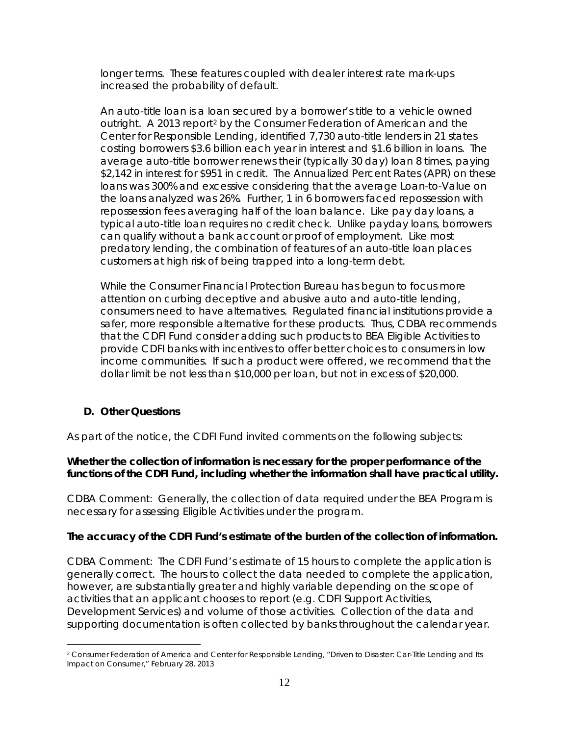longer terms. These features coupled with dealer interest rate mark-ups increased the probability of default.

An auto-title loan is a loan secured by a borrower's title to a vehicle owned outright. A 2013 report<sup>2</sup> by the Consumer Federation of American and the Center for Responsible Lending, identified 7,730 auto-title lenders in 21 states costing borrowers \$3.6 billion each year in interest and \$1.6 billion in loans. The average auto-title borrower renews their (typically 30 day) loan 8 times, paying \$2,142 in interest for \$951 in credit. The Annualized Percent Rates (APR) on these loans was 300% and excessive considering that the average Loan-to-Value on the loans analyzed was 26%. Further, 1 in 6 borrowers faced repossession with repossession fees averaging half of the loan balance. Like pay day loans, a typical auto-title loan requires no credit check. Unlike payday loans, borrowers can qualify without a bank account or proof of employment. Like most predatory lending, the combination of features of an auto-title loan places customers at high risk of being trapped into a long-term debt.

While the Consumer Financial Protection Bureau has begun to focus more attention on curbing deceptive and abusive auto and auto-title lending, consumers need to have alternatives. Regulated financial institutions provide a safer, more responsible alternative for these products. Thus, CDBA recommends that the CDFI Fund consider adding such products to BEA Eligible Activities to provide CDFI banks with incentives to offer better choices to consumers in low income communities. If such a product were offered, we recommend that the dollar limit be not less than \$10,000 per loan, but not in excess of \$20,000.

## **D. Other Questions**

As part of the notice, the CDFI Fund invited comments on the following subjects:

## **Whether the collection of information is necessary for the proper performance of the functions of the CDFI Fund, including whether the information shall have practical utility.**

CDBA Comment: Generally, the collection of data required under the BEA Program is necessary for assessing Eligible Activities under the program.

## **The accuracy of the CDFI Fund's estimate of the burden of the collection of information.**

CDBA Comment: The CDFI Fund's estimate of 15 hours to complete the application is generally correct. The hours to collect the data needed to complete the application, however, are substantially greater and highly variable depending on the scope of activities that an applicant chooses to report (e.g. CDFI Support Activities, Development Services) and volume of those activities. Collection of the data and supporting documentation is often collected by banks throughout the calendar year.

<span id="page-11-0"></span><sup>2</sup> Consumer Federation of America and Center for Responsible Lending, "Driven to Disaster: Car-Title Lending and Its Impact on Consumer," February 28, 2013  $\overline{a}$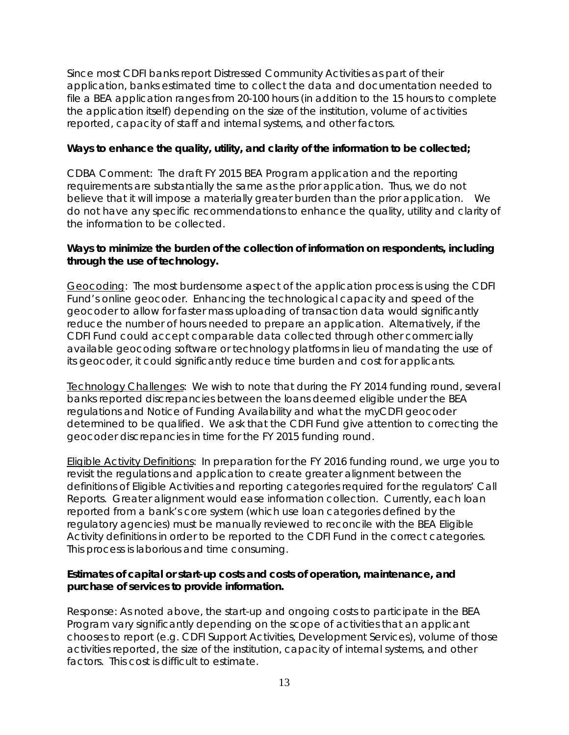Since most CDFI banks report Distressed Community Activities as part of their application, banks estimated time to collect the data and documentation needed to file a BEA application ranges from 20-100 hours (in addition to the 15 hours to complete the application itself) depending on the size of the institution, volume of activities reported, capacity of staff and internal systems, and other factors.

#### **Ways to enhance the quality, utility, and clarity of the information to be collected;**

CDBA Comment: The draft FY 2015 BEA Program application and the reporting requirements are substantially the same as the prior application. Thus, we do not believe that it will impose a materially greater burden than the prior application. We do not have any specific recommendations to enhance the quality, utility and clarity of the information to be collected.

### **Ways to minimize the burden of the collection of information on respondents, including through the use of technology.**

Geocoding: The most burdensome aspect of the application process is using the CDFI Fund's online geocoder. Enhancing the technological capacity and speed of the geocoder to allow for faster mass uploading of transaction data would significantly reduce the number of hours needed to prepare an application. Alternatively, if the CDFI Fund could accept comparable data collected through other commercially available geocoding software or technology platforms in lieu of mandating the use of its geocoder, it could significantly reduce time burden and cost for applicants.

Technology Challenges: We wish to note that during the FY 2014 funding round, several banks reported discrepancies between the loans deemed eligible under the BEA regulations and Notice of Funding Availability and what the myCDFI geocoder determined to be qualified. We ask that the CDFI Fund give attention to correcting the geocoder discrepancies in time for the FY 2015 funding round.

Eligible Activity Definitions: In preparation for the FY 2016 funding round, we urge you to revisit the regulations and application to create greater alignment between the definitions of Eligible Activities and reporting categories required for the regulators' Call Reports. Greater alignment would ease information collection. Currently, each loan reported from a bank's core system (which use loan categories defined by the regulatory agencies) must be manually reviewed to reconcile with the BEA Eligible Activity definitions in order to be reported to the CDFI Fund in the correct categories. This process is laborious and time consuming.

### **Estimates of capital or start-up costs and costs of operation, maintenance, and purchase of services to provide information.**

Response: As noted above, the start-up and ongoing costs to participate in the BEA Program vary significantly depending on the scope of activities that an applicant chooses to report (e.g. CDFI Support Activities, Development Services), volume of those activities reported, the size of the institution, capacity of internal systems, and other factors. This cost is difficult to estimate.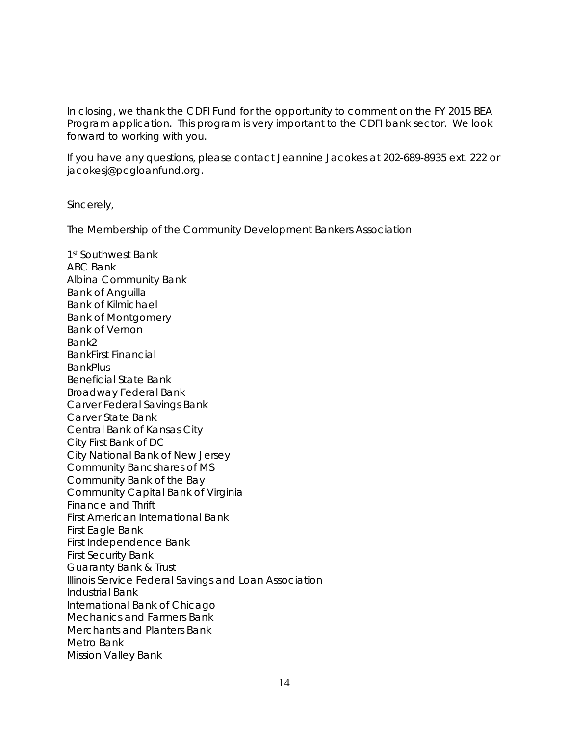In closing, we thank the CDFI Fund for the opportunity to comment on the FY 2015 BEA Program application. This program is very important to the CDFI bank sector. We look forward to working with you.

If you have any questions, please contact Jeannine Jacokes at 202-689-8935 ext. 222 or jacokesj@pcgloanfund.org.

Sincerely,

The Membership of the Community Development Bankers Association

1st Southwest Bank ABC Bank Albina Community Bank Bank of Anguilla Bank of Kilmichael Bank of Montgomery Bank of Vernon Bank2 BankFirst Financial **BankPlus** Beneficial State Bank Broadway Federal Bank Carver Federal Savings Bank Carver State Bank Central Bank of Kansas City City First Bank of DC City National Bank of New Jersey Community Bancshares of MS Community Bank of the Bay Community Capital Bank of Virginia Finance and Thrift First American International Bank First Eagle Bank First Independence Bank First Security Bank Guaranty Bank & Trust Illinois Service Federal Savings and Loan Association Industrial Bank International Bank of Chicago Mechanics and Farmers Bank Merchants and Planters Bank Metro Bank Mission Valley Bank